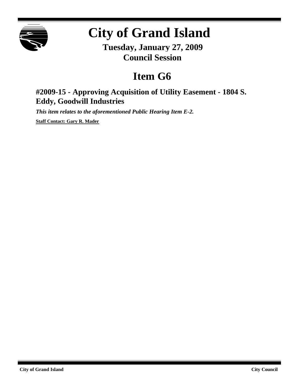

## **City of Grand Island**

**Tuesday, January 27, 2009 Council Session**

## **Item G6**

## **#2009-15 - Approving Acquisition of Utility Easement - 1804 S. Eddy, Goodwill Industries**

*This item relates to the aforementioned Public Hearing Item E-2.*

**Staff Contact: Gary R. Mader**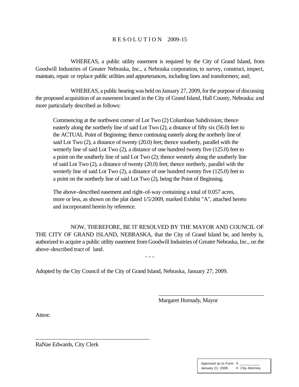## R E S O L U T I O N 2009-15

WHEREAS, a public utility easement is required by the City of Grand Island, from Goodwill Industries of Greater Nebraska, Inc., a Nebraska corporation, to survey, construct, inspect, maintain, repair or replace public utilities and appurtenances, including lines and transformers; and;

WHEREAS, a public hearing was held on January 27, 2009, for the purpose of discussing the proposed acquisition of an easement located in the City of Grand Island, Hall County, Nebraska; and more particularly described as follows:

Commencing at the northwest corner of Lot Two (2) Columbian Subdivision; thence easterly along the northerly line of said Lot Two (2), a distance of fifty six (56.0) feet to the ACTUAL Point of Beginning; thence continuing easterly along the northerly line of said Lot Two (2), a distance of twenty (20.0) feet; thence southerly, parallel with the westerly line of said Lot Two (2), a distance of one hundred twenty five (125.0) feet to a point on the southerly line of said Lot Two (2); thence westerly along the southerly line of said Lot Two (2), a distance of twenty (20.0) feet; thence northerly, parallel with the westerly line of said Lot Two (2), a distance of one hundred twenty five (125.0) feet to a point on the northerly line of said Lot Two (2), being the Point of Beginning.

The above-described easement and right-of-way containing a total of 0.057 acres, more or less, as shown on the plat dated 1/5/2009, marked Exhibit "A", attached hereto and incorporated herein by reference.

NOW, THEREFORE, BE IT RESOLVED BY THE MAYOR AND COUNCIL OF THE CITY OF GRAND ISLAND, NEBRASKA, that the City of Grand Island be, and hereby is, authorized to acquire a public utility easement fromGoodwill Industries of Greater Nebraska, Inc., on the above-described tract of land.

- - -

Adopted by the City Council of the City of Grand Island, Nebraska, January 27, 2009.

Margaret Hornady, Mayor

\_\_\_\_\_\_\_\_\_\_\_\_\_\_\_\_\_\_\_\_\_\_\_\_\_\_\_\_\_\_\_\_\_\_\_\_\_\_\_

Attest:

RaNae Edwards, City Clerk

\_\_\_\_\_\_\_\_\_\_\_\_\_\_\_\_\_\_\_\_\_\_\_\_\_\_\_\_\_\_\_\_\_\_\_\_\_\_\_

| Approved as to Form ¤ |                 |
|-----------------------|-----------------|
| January 21, 2009      | ¤ City Attorney |